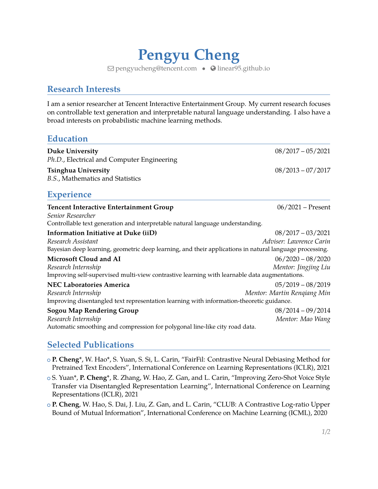# **Pengyu Cheng**

 $\boxdot$  [pengyucheng@tencent.com](mailto:pengyucheng@tencent.com) •  $\odot$  [linear95.github.io](http://linear95.github.io)

## **Research Interests**

I am a senior researcher at Tencent Interactive Entertainment Group. My current research focuses on controllable text generation and interpretable natural language understanding. I also have a broad interests on probabilistic machine learning methods.

#### **Education**

| <b>Duke University</b><br>Ph.D., Electrical and Computer Engineering                                                                                                  | $08/2017 - 05/2021$                                |
|-----------------------------------------------------------------------------------------------------------------------------------------------------------------------|----------------------------------------------------|
| <b>Tsinghua University</b><br>B.S., Mathematics and Statistics                                                                                                        | $08/2013 - 07/2017$                                |
| <b>Experience</b>                                                                                                                                                     |                                                    |
| <b>Tencent Interactive Entertainment Group</b><br>Senior Researcher<br>Controllable text generation and interpretable natural language understanding.                 | $06/2021$ – Present                                |
| Information Initiative at Duke (iiD)<br>Research Assistant<br>Bayesian deep learning, geometric deep learning, and their applications in natural language processing. | $08/2017 - 03/2021$<br>Adviser: Lawrence Carin     |
| <b>Microsoft Cloud and AI</b><br>Research Internship<br>Improving self-supervised multi-view contrastive learning with learnable data augmentations.                  | $06/2020 - 08/2020$<br>Mentor: Jingjing Liu        |
| <b>NEC Laboratories America</b><br>Research Internship<br>Improving disentangled text representation learning with information-theoretic guidance.                    | $05/2019 - 08/2019$<br>Mentor: Martin Rengiang Min |
| <b>Sogou Map Rendering Group</b><br>Research Internship<br>Automatic smoothing and compression for polygonal line-like city road data.                                | $08/2014 - 09/2014$<br>Mentor: Mao Wang            |

#### **Selected Publications**

- <sup>+</sup> **P. Cheng**\*, W. Hao\*, S. Yuan, S. Si, L. Carin, "FairFil: Contrastive Neural Debiasing Method for Pretrained Text Encoders", International Conference on Learning Representations (ICLR), 2021
- <sup>+</sup> S. Yuan\*, **P. Cheng**\*, R. Zhang, W. Hao, Z. Gan, and L. Carin, "Improving Zero-Shot Voice Style Transfer via Disentangled Representation Learning", International Conference on Learning Representations (ICLR), 2021
- <sup>+</sup> **P. Cheng**, W. Hao, S. Dai, J. Liu, Z. Gan, and L. Carin, "CLUB: A Contrastive Log-ratio Upper Bound of Mutual Information", International Conference on Machine Learning (ICML), 2020